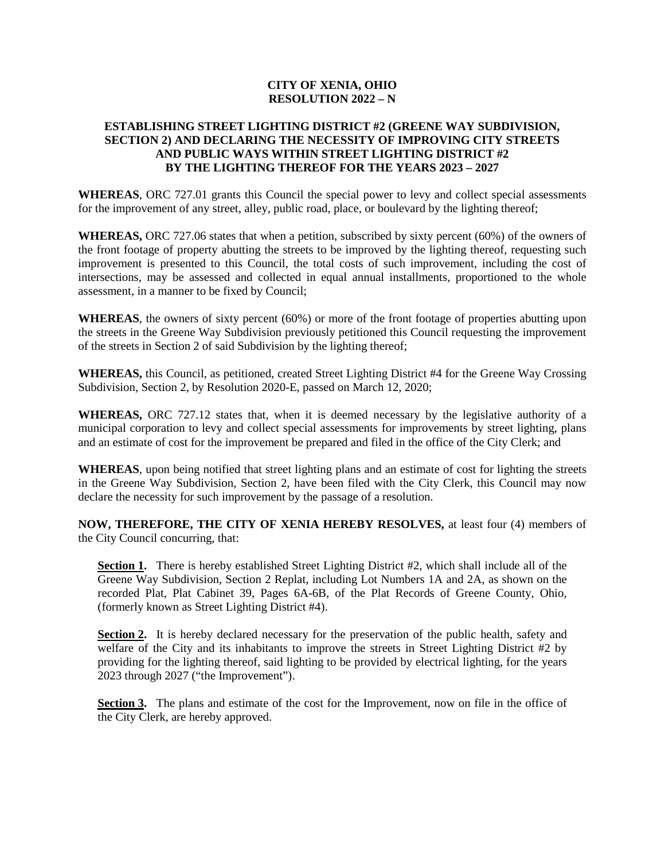### **CITY OF XENIA, OHIO RESOLUTION 2022 – N**

### **ESTABLISHING STREET LIGHTING DISTRICT #2 (GREENE WAY SUBDIVISION, SECTION 2) AND DECLARING THE NECESSITY OF IMPROVING CITY STREETS AND PUBLIC WAYS WITHIN STREET LIGHTING DISTRICT #2 BY THE LIGHTING THEREOF FOR THE YEARS 2023 – 2027**

**WHEREAS**, ORC 727.01 grants this Council the special power to levy and collect special assessments for the improvement of any street, alley, public road, place, or boulevard by the lighting thereof;

**WHEREAS,** ORC 727.06 states that when a petition, subscribed by sixty percent (60%) of the owners of the front footage of property abutting the streets to be improved by the lighting thereof, requesting such improvement is presented to this Council, the total costs of such improvement, including the cost of intersections, may be assessed and collected in equal annual installments, proportioned to the whole assessment, in a manner to be fixed by Council;

**WHEREAS**, the owners of sixty percent (60%) or more of the front footage of properties abutting upon the streets in the Greene Way Subdivision previously petitioned this Council requesting the improvement of the streets in Section 2 of said Subdivision by the lighting thereof;

**WHEREAS,** this Council, as petitioned, created Street Lighting District #4 for the Greene Way Crossing Subdivision, Section 2, by Resolution 2020-E, passed on March 12, 2020;

**WHEREAS,** ORC 727.12 states that, when it is deemed necessary by the legislative authority of a municipal corporation to levy and collect special assessments for improvements by street lighting, plans and an estimate of cost for the improvement be prepared and filed in the office of the City Clerk; and

**WHEREAS**, upon being notified that street lighting plans and an estimate of cost for lighting the streets in the Greene Way Subdivision, Section 2, have been filed with the City Clerk, this Council may now declare the necessity for such improvement by the passage of a resolution.

**NOW, THEREFORE, THE CITY OF XENIA HEREBY RESOLVES,** at least four (4) members of the City Council concurring, that:

**Section 1.** There is hereby established Street Lighting District #2, which shall include all of the Greene Way Subdivision, Section 2 Replat, including Lot Numbers 1A and 2A, as shown on the recorded Plat, Plat Cabinet 39, Pages 6A-6B, of the Plat Records of Greene County, Ohio, (formerly known as Street Lighting District #4).

**Section 2.** It is hereby declared necessary for the preservation of the public health, safety and welfare of the City and its inhabitants to improve the streets in Street Lighting District #2 by providing for the lighting thereof, said lighting to be provided by electrical lighting, for the years 2023 through 2027 ("the Improvement").

**Section 3.** The plans and estimate of the cost for the Improvement, now on file in the office of the City Clerk, are hereby approved.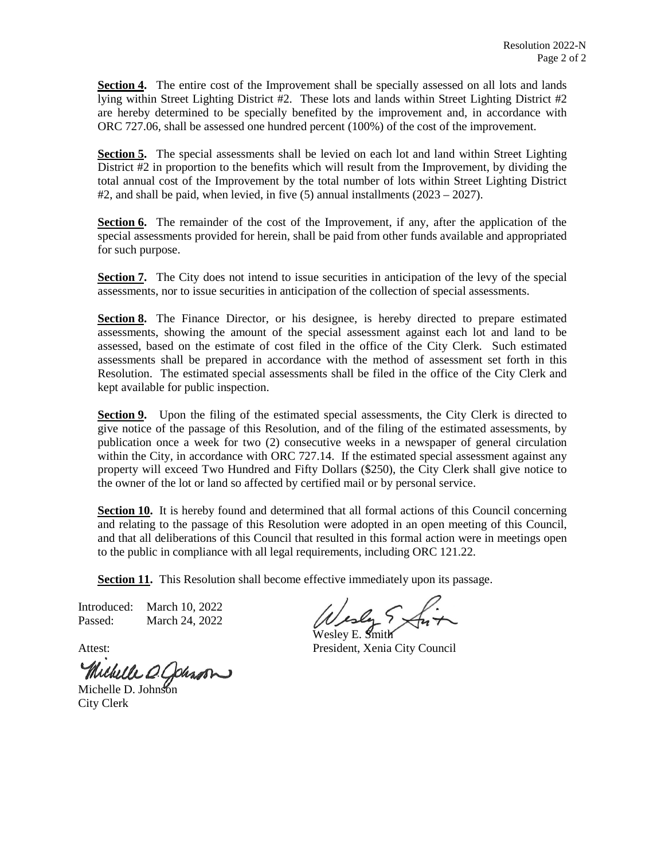**Section 4.** The entire cost of the Improvement shall be specially assessed on all lots and lands lying within Street Lighting District #2. These lots and lands within Street Lighting District #2 are hereby determined to be specially benefited by the improvement and, in accordance with ORC 727.06, shall be assessed one hundred percent (100%) of the cost of the improvement.

**Section 5.** The special assessments shall be levied on each lot and land within Street Lighting District #2 in proportion to the benefits which will result from the Improvement, by dividing the total annual cost of the Improvement by the total number of lots within Street Lighting District  $#2$ , and shall be paid, when levied, in five (5) annual installments (2023 – 2027).

**Section 6.** The remainder of the cost of the Improvement, if any, after the application of the special assessments provided for herein, shall be paid from other funds available and appropriated for such purpose.

**Section 7.** The City does not intend to issue securities in anticipation of the levy of the special assessments, nor to issue securities in anticipation of the collection of special assessments.

**Section 8.** The Finance Director, or his designee, is hereby directed to prepare estimated assessments, showing the amount of the special assessment against each lot and land to be assessed, based on the estimate of cost filed in the office of the City Clerk. Such estimated assessments shall be prepared in accordance with the method of assessment set forth in this Resolution. The estimated special assessments shall be filed in the office of the City Clerk and kept available for public inspection.

**Section 9.** Upon the filing of the estimated special assessments, the City Clerk is directed to give notice of the passage of this Resolution, and of the filing of the estimated assessments, by publication once a week for two (2) consecutive weeks in a newspaper of general circulation within the City, in accordance with ORC 727.14. If the estimated special assessment against any property will exceed Two Hundred and Fifty Dollars (\$250), the City Clerk shall give notice to the owner of the lot or land so affected by certified mail or by personal service.

**Section 10.** It is hereby found and determined that all formal actions of this Council concerning and relating to the passage of this Resolution were adopted in an open meeting of this Council, and that all deliberations of this Council that resulted in this formal action were in meetings open to the public in compliance with all legal requirements, including ORC 121.22.

**Section 11.** This Resolution shall become effective immediately upon its passage.

Introduced: March 10, 2022 Passed: March 24, 2022

Michelle O. Johnson

City Clerk

Wesley E. Smith

Attest: President, Xenia City Council